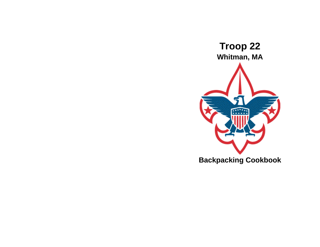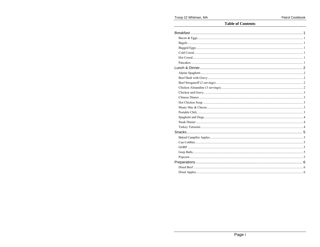#### Troop 22 Whitman, MA

#### **Table of Contents**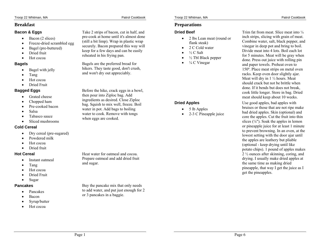# **Breakfast**

## **Bacon & Eggs**

- Bacon (2 slices)
- •Freeze-dried scrambled egg
- •Bagel (pre-buttered)
- •Dried fruit
- •Hot cocoa

## **Bagels**

- •Bagel with jelly
- •Tang
- •Hot cocoa
- •Dried Fruit

# **Bagged Eggs**

- $\bullet$ Grated cheese
- •Chopped ham
- •Pre-cooked bacon
- •Salsa
- •Tabasco sauce
- •Sliced mushrooms

## **Cold Cereal**

- •Dry cereal (pre-sugared)
- •Powdered milk
- •Hot cocoa
- •Dried fruit

## **Hot Cereal**

- •Instant oatmeal
- •Tang
- •Hot cocoa
- •Dried Fruit
- •Sugar

## **Pancakes**

- •Pancakes
- •Bacon
- •Syrup/butter
- •Hot cocoa

Take 2 strips of bacon, cut in half, and pre-cook at home until it's almost done (still a bit limp). Wrap in plastic wrap securely. Bacon prepared this way will keep for a few days and can be easily reheated in his frying pan.

Bagels are the preferred bread for hikers. They taste good, don't crush, and won't dry out appreciably.

Before the hike, crack eggs in a bowl, then pour into Ziploc bag. Add ingredients as desired. Close Ziploc bag. Squish to mix well, freeze. Boil water in pot. Add bags to boiling water to cook. Remove with tongs when eggs are cooked.

Heat water for oatmeal and cocoa. Prepare oatmeal and add dried fruit and sugar.

Buy the pancake mix that only needs to add water, and put just enough for 2 or 3 pancakes in a baggie.

# **Preparations**

# **Dried Beef**

- 2 lbs Lean meat (round or flank steak)
- •2 C Cold water
- •½ C Salt
- • $\frac{1}{2}$  Tbl Black pepper
- •¼ C Vinegar

# **Dried Apples**

- •5 lb Apples
- •2-3 C Pineapple juice

Trim fat from meat. Slice meat into  $\frac{1}{4}$ inch strips, slicing with grain of meat. Combine water, salt, black pepper, and vinegar in deep pot and bring to boil. Divide meat into 4 lots. Boil each lot for 5 minutes. Meat will be gray when done. Press out juice with rolling pin and paper towels. Preheat oven to 150º. Place meat strips on metal oven racks. Keep oven door slightly ajar. Meat will dry in 1 ½ hours. Meat should crack but not be brittle when done. If it bends but does not break, cook little longer. Store in bag. Dried meat should keep about 10 weeks.

Use good apples, bad apples with bruises or those that are not ripe make bad dried apples. Skin (optional) and core the apples. Cut the fruit into thin slices ( ⅛"). Soak the apples in lemon or pineapple juice for at least 1 minute to prevent browning. In an oven, at the lowest setting with the door ajar until the apples are leathery but pliable (optional - keep drying until like potato chips). 1 pound of apples makes 2 ½ ounces after skinning, coring, and drying. I usually make dried apples at the same time as making dried pineapple, that way I get the juice as I get the pineapples.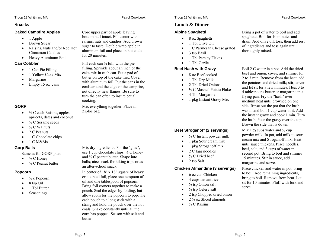## **Snacks**

## **Baked Campfire Apples**

- $\bullet$ 1 Apple
- •Brown Sugar
- • Raisins, Nuts and/or Red Hot Cinnamon Candies
- Heavy Aluminum Foil

## **Can Cobbler**

- •1 Can Pie Filling
- •1 Yellow Cake Mix
- •Margarine
- •Empty 15 oz cans

## **GORP**

- ⅓ C each Raisins, apples, apricots, dates and coconut
- •½ C Sesame seeds
- •⅓ C Walnuts
- •2 C Peanuts
- •1 C Chocolate chips
- •1 C M&Ms

# **Gorp Balls**

Same as for GORP plus:

- $\frac{1}{3}$  C Honey
- •<sup>1</sup>/<sub>2</sub> C Peanut butter

## **Popcorn**

- •½ c Popcorn
- •8 tsp Oil
- •1 Tbl Butter
- •Seasonings

Core upper part of apple leaving bottom half intact. Fill center with raisins, nuts and candies. Add brown sugar to taste. Double wrap apple in aluminum foil and place on hot coals for 20 minutes.

Fill each can  $\frac{3}{4}$  full, with the pie filling. Sprinkle about an inch of the cake mix in each can. Put a pad of butter on top of the cake mix. Cover with aluminum foil. Put the cans in the coals around the edge of the campfire, not directly near flames. Be sure to turn the can often to insure equal cooking.

Mix everything together. Place in Ziploc bag.

Mix dry ingredients. For the "glue", use 1 cup chocolate chips, ⅓ C honey and ½ C peanut butter. Shape into balls; nice snack for hiking trips or as an after-school snack.

In center of 18" x 18" square of heavy or doubled foil, place one teaspoon of oil and one tablespoon of popcorn. Bring foil corners together to make a pouch. Seal the edges by folding, but allow room for the popcorn to pop. Tie each pouch to a long stick with a string and hold the pouch over the hot coals. Shake constantly until all the corn has popped. Season with salt and butter.

# **Lunch & Dinner**

# **Alpine Spaghetti**

- •8 oz Spaghetti
- •1 Tbl Olive Oil
- •1 C Parmesan Cheese grated
- •3 tsp Basil
- •1 Tbl Parsley Flakes
- •1 Tbl Garlic

# **Beef Hash with Gravy**

- •8 oz Beef cooked
- •1 Tbl Dry Milk
- •2 Tbl Dried Onions
- •½ C Mashed Potato Flakes
- 4 Tbl Margarine

•

•

•1 pkg Instant Gravy Mix

# **Beef Stroganoff (2 servings)**

- •⅓ C Instant powder milk
- •1 pkg Sour cream mix
- •1 pkg Stroganoff mix
- 2 C Egg noodles
- • $\frac{1}{2}$  C Dried beef
- •2 tsp Salt

# **Chicken Almandine (3 servings)**

- •6 oz can Chicken
- •4 cups Instant rice
- • $\frac{1}{2}$  tsp Onion salt
- • $\frac{1}{2}$  tsp Celery salt
- •2 tsp Chopped dried onion
- •2 ¾ oz Sliced almonds
- •⅔ C Raisins

Bring a pot of water to boil and add spaghetti. Boil for 10 minutes and drain. Add olive oil, toss, then add rest of ingredients and toss again until thoroughly mixed.

Boil 2 C water in a pot. Add the dried beef and onion, cover, and simmer for 2 to 3 min. Remove from the heat, add the potatoes and dried milk; stir; cover and let sit for a few minutes. Heat 3 to 4 tablespoons butter or margarine in a frying pan. Fry the "hash" over medium heat until browned on one side. Rinse out the pot that the hash was in and boil 1 cup water in it. Add the instant gravy and cook 1 min. Turn the hash. Pour the gravy over the top. Brown the side that is down.

Mix  $1\frac{1}{2}$  cups water and  $\frac{1}{2}$  cup powder milk. In pot, add milk to sour cream mix and Stroganoff mix. Heat until sauce thickens. Place noodles, beef, salt, and 3 cups of water in second pot. Bring to boil and simmer 15 minutes. Stir in sauce, add margarine and serve.

Place chicken and water in pot, bring to boil. Add remaining ingredients, bring to boil. Remove from heat. Let sit for 10 minutes. Fluff with fork and serve.